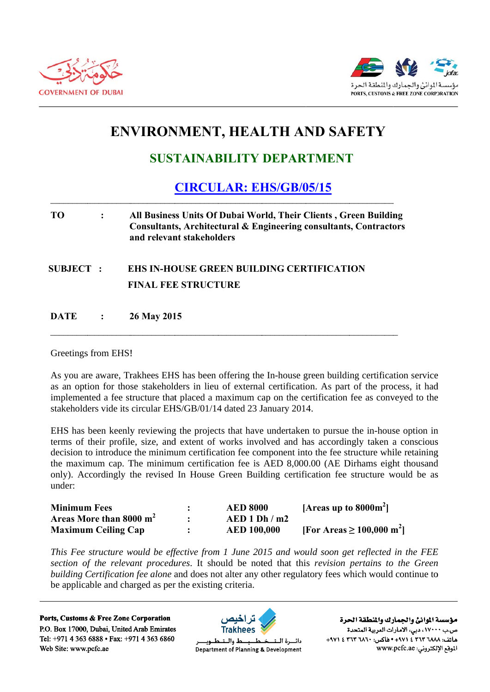



# **ENVIRONMENT, HEALTH AND SAFETY**

## **SUSTAINABILITY DEPARTMENT**

### **CIRCULAR: EHS/GB/05/15**

### **TO**  $\ddot{\cdot}$ All Business Units Of Dubai World, Their Clients, Green Building Consultants, Architectural & Engineering consultants, Contractors and relevant stakeholders

### **SUBJECT: EHS IN-HOUSE GREEN BUILDING CERTIFICATION** FINAL FEE STRUCTURE

**DATE** 26 May 2015  $\ddot{\cdot}$ 

Greetings from EHS!

As you are aware. Trakhees EHS has been offering the In-house green building certification service as an option for those stakeholders in lieu of external certification. As part of the process, it had implemented a fee structure that placed a maximum cap on the certification fee as conveyed to the stakeholders vide its circular EHS/GB/01/14 dated 23 January 2014.

EHS has been keenly reviewing the projects that have undertaken to pursue the in-house option in terms of their profile, size, and extent of works involved and has accordingly taken a conscious decision to introduce the minimum certification fee component into the fee structure while retaining the maximum cap. The minimum certification fee is AED 8,000.00 (AE Dirhams eight thousand only). Accordingly the revised In House Green Building certification fee structure would be as under<sup>.</sup>

| <b>Minimum Fees</b>        | <b>AED 8000</b>    | [Areas up to $8000m^2$ ]                |
|----------------------------|--------------------|-----------------------------------------|
| Areas More than 8000 $m2$  | AED1 Dh/m2         |                                         |
| <b>Maximum Ceiling Cap</b> | <b>AED 100,000</b> | [For Areas $\geq 100,000 \text{ m}^2$ ] |

This Fee structure would be effective from 1 June 2015 and would soon get reflected in the FEE section of the relevant procedures. It should be noted that this revision pertains to the Green building Certification fee alone and does not alter any other regulatory fees which would continue to be applicable and charged as per the existing criteria.

Ports, Customs & Free Zone Corporation P.O. Box 17000, Dubai, United Arab Emirates Tel: +971 4 363 6888 • Fax: +971 4 363 6860 Web Site: www.pcfc.ae



دائسرة البتد Department of Planning & Development

مؤسسة الموانئ والجمارك والنطقة الحرة ص.ب ١٧٠٠٠، دبي، الأمارات العربية المتحدة ماتف: ٢٦٨٨ ٢٦٣ ٤ ٢٧١٤ • هاكس: ٢٦٠٦ ٢٦٣ ٤ ٢٩٧١ الموقع الإلكتروني: www.pcfc.ae